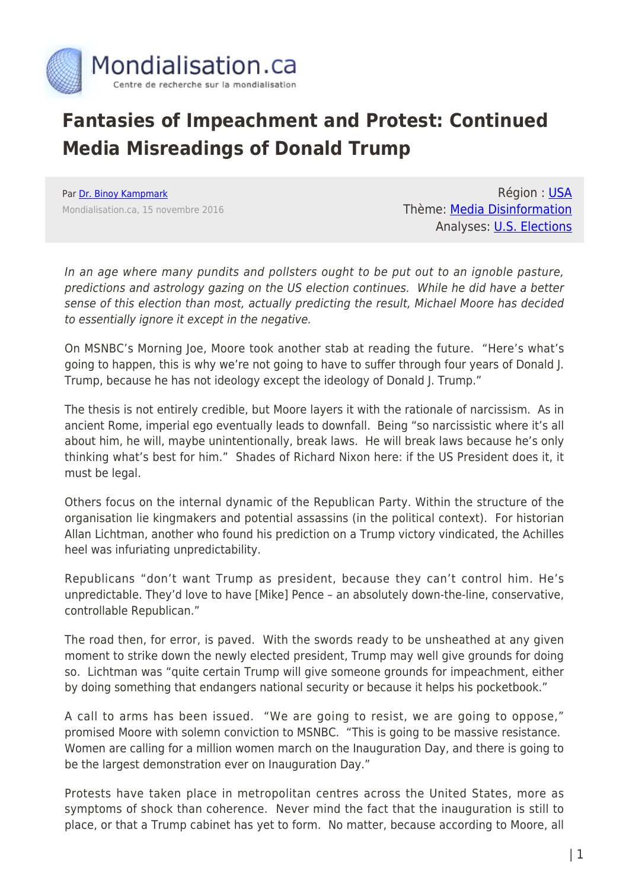

## **Fantasies of Impeachment and Protest: Continued Media Misreadings of Donald Trump**

Par [Dr. Binoy Kampmark](https://www.mondialisation.ca/author/binoy-kampmark) Mondialisation.ca, 15 novembre 2016

Région : [USA](https://www.mondialisation.ca/region/usa) Thème: [Media Disinformation](https://www.mondialisation.ca/theme/media-disinformation) Analyses: [U.S. Elections](https://www.mondialisation.ca/indepthreport/u-s-elections)

In an age where many pundits and pollsters ought to be put out to an ignoble pasture, predictions and astrology gazing on the US election continues. While he did have a better sense of this election than most, actually predicting the result, Michael Moore has decided to essentially ignore it except in the negative.

On MSNBC's Morning Joe, Moore took another stab at reading the future. "Here's what's going to happen, this is why we're not going to have to suffer through four years of Donald J. Trump, because he has not ideology except the ideology of Donald J. Trump."

The thesis is not entirely credible, but Moore layers it with the rationale of narcissism. As in ancient Rome, imperial ego eventually leads to downfall. Being "so narcissistic where it's all about him, he will, maybe unintentionally, break laws. He will break laws because he's only thinking what's best for him." Shades of Richard Nixon here: if the US President does it, it must be legal.

Others focus on the internal dynamic of the Republican Party. Within the structure of the organisation lie kingmakers and potential assassins (in the political context). For historian Allan Lichtman, another who found his prediction on a Trump victory vindicated, the Achilles heel was infuriating unpredictability.

Republicans "don't want Trump as president, because they can't control him. He's unpredictable. They'd love to have [Mike] Pence – an absolutely down-the-line, conservative, controllable Republican."

The road then, for error, is paved. With the swords ready to be unsheathed at any given moment to strike down the newly elected president, Trump may well give grounds for doing so. Lichtman was "quite certain Trump will give someone grounds for impeachment, either by doing something that endangers national security or because it helps his pocketbook."

A call to arms has been issued. "We are going to resist, we are going to oppose," promised Moore with solemn conviction to MSNBC. "This is going to be massive resistance. Women are calling for a million women march on the Inauguration Day, and there is going to be the largest demonstration ever on Inauguration Day."

Protests have taken place in metropolitan centres across the United States, more as symptoms of shock than coherence. Never mind the fact that the inauguration is still to place, or that a Trump cabinet has yet to form. No matter, because according to Moore, all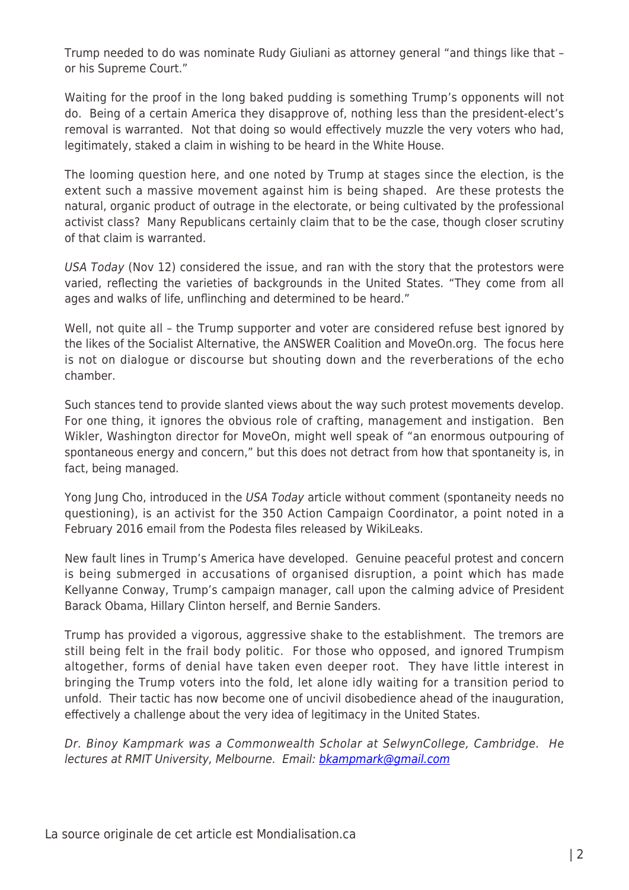Trump needed to do was nominate Rudy Giuliani as attorney general "and things like that – or his Supreme Court."

Waiting for the proof in the long baked pudding is something Trump's opponents will not do. Being of a certain America they disapprove of, nothing less than the president-elect's removal is warranted. Not that doing so would effectively muzzle the very voters who had, legitimately, staked a claim in wishing to be heard in the White House.

The looming question here, and one noted by Trump at stages since the election, is the extent such a massive movement against him is being shaped. Are these protests the natural, organic product of outrage in the electorate, or being cultivated by the professional activist class? Many Republicans certainly claim that to be the case, though closer scrutiny of that claim is warranted.

USA Today (Nov 12) considered the issue, and ran with the story that the protestors were varied, reflecting the varieties of backgrounds in the United States. "They come from all ages and walks of life, unflinching and determined to be heard."

Well, not quite all - the Trump supporter and voter are considered refuse best ignored by the likes of the Socialist Alternative, the ANSWER Coalition and MoveOn.org. The focus here is not on dialogue or discourse but shouting down and the reverberations of the echo chamber.

Such stances tend to provide slanted views about the way such protest movements develop. For one thing, it ignores the obvious role of crafting, management and instigation. Ben Wikler, Washington director for MoveOn, might well speak of "an enormous outpouring of spontaneous energy and concern," but this does not detract from how that spontaneity is, in fact, being managed.

Yong Jung Cho, introduced in the USA Today article without comment (spontaneity needs no questioning), is an activist for the 350 Action Campaign Coordinator, a point noted in a February 2016 email from the Podesta files released by WikiLeaks.

New fault lines in Trump's America have developed. Genuine peaceful protest and concern is being submerged in accusations of organised disruption, a point which has made Kellyanne Conway, Trump's campaign manager, call upon the calming advice of President Barack Obama, Hillary Clinton herself, and Bernie Sanders.

Trump has provided a vigorous, aggressive shake to the establishment. The tremors are still being felt in the frail body politic. For those who opposed, and ignored Trumpism altogether, forms of denial have taken even deeper root. They have little interest in bringing the Trump voters into the fold, let alone idly waiting for a transition period to unfold. Their tactic has now become one of uncivil disobedience ahead of the inauguration, effectively a challenge about the very idea of legitimacy in the United States.

Dr. Binoy Kampmark was a Commonwealth Scholar at SelwynCollege, Cambridge. He lectures at RMIT University, Melbourne. Email: [bkampmark@gmail.com](mailto:bkampmark@gmail.com)